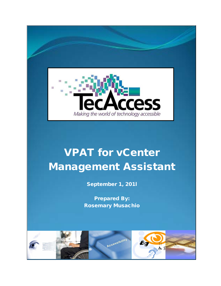

## VPAT for vCenter Management Assistant

September 1, 201l

Prepared By: Rosemary Musachio

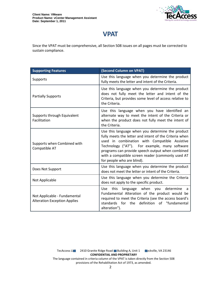

## **VPAT**

Since the VPAT must be comprehensive, all Section 508 issues on all pages must be corrected to sustain compliance.

| <b>Supporting Features</b>                                          | (Second Column on VPAT)                                                                                                                                                                                                                                                                                                                             |
|---------------------------------------------------------------------|-----------------------------------------------------------------------------------------------------------------------------------------------------------------------------------------------------------------------------------------------------------------------------------------------------------------------------------------------------|
| Supports                                                            | Use this language when you determine the product<br>fully meets the letter and intent of the Criteria.                                                                                                                                                                                                                                              |
| <b>Partially Supports</b>                                           | Use this language when you determine the product<br>does not fully meet the letter and intent of the<br>Criteria, but provides some level of access relative to<br>the Criteria.                                                                                                                                                                    |
| Supports through Equivalent<br>Facilitation                         | Use this language when you have identified an<br>alternate way to meet the intent of the Criteria or<br>when the product does not fully meet the intent of<br>the Criteria.                                                                                                                                                                         |
| Supports when Combined with<br>Compatible AT                        | Use this language when you determine the product<br>fully meets the letter and intent of the Criteria when<br>used in combination with Compatible Assistive<br>Technology ("AT"). For example, many software<br>programs can provide speech output when combined<br>with a compatible screen reader (commonly used AT<br>for people who are blind). |
| Does Not Support                                                    | Use this language when you determine the product<br>does not meet the letter or intent of the Criteria.                                                                                                                                                                                                                                             |
| Not Applicable                                                      | Use this language when you determine the Criteria<br>does not apply to the specific product.                                                                                                                                                                                                                                                        |
| Not Applicable - Fundamental<br><b>Alteration Exception Applies</b> | language when you<br>this<br>determine<br>Use<br>a<br>Fundamental Alteration of the product would be<br>required to meet the Criteria (see the access board's<br>standards for the definition of "fundamental<br>alteration").                                                                                                                      |

TecAccess LLC 2410 Granite Ridge Road Building A, Unit 1 Dckville, VA 23146 **CONFIDENTIAL AND PROPRIETARY** The language contained in criteria column of the VPAT is taken directly from the Section 508 provisions of the Rehabilitation Act of 1973, as amended.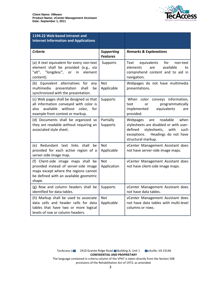

| 1194.22 Web-based Intranet and<br><b>Internet Information and Applications</b>                                                                                           |                                      |                                                                                                                                                                                       |
|--------------------------------------------------------------------------------------------------------------------------------------------------------------------------|--------------------------------------|---------------------------------------------------------------------------------------------------------------------------------------------------------------------------------------|
| <b>Criteria</b>                                                                                                                                                          | <b>Supporting</b><br><b>Features</b> | <b>Remarks &amp; Explanations</b>                                                                                                                                                     |
| (a) A text equivalent for every non-text<br>element shall be provided (e.g., via<br>"alt", "longdesc", or<br>in<br>element<br>content).                                  | Supports                             | equivalents<br>for<br>Text<br>non-text<br>elements<br>available<br>are<br>to<br>comprehend content and to aid in<br>navigation.                                                       |
| (b) Equivalent alternatives for any<br>multimedia<br>presentation<br>shall<br>be<br>synchronized with the presentation.                                                  | <b>Not</b><br>Applicable             | Webpages do not have multimedia<br>presentations.                                                                                                                                     |
| (c) Web pages shall be designed so that<br>all information conveyed with color is<br>without color,<br>available<br>for<br>also<br>example from context or markup.       | Supports                             | color conveys information,<br>When<br>programmatically<br>text<br>or<br>implemented<br>equivalents<br>are<br>provided.                                                                |
| (d) Documents shall be organized so<br>they are readable without requiring an<br>associated style sheet.                                                                 | Partially<br>Supports                | readable<br>when<br>Webpages<br>are<br>stylesheets are disabled or with user-<br>defined<br>stylesheets,<br>with<br>such<br>Headings do not have<br>exceptions.<br>structural markup. |
| (e) Redundant text links shall<br>be<br>provided for each active region of a<br>server-side image map.                                                                   | <b>Not</b><br>Applicable             | vCenter Management Assistant does<br>not have server-side image maps.                                                                                                                 |
| (f) Client-side image maps shall be<br>provided instead of server-side image<br>maps except where the regions cannot<br>be defined with an available geometric<br>shape. | <b>Not</b><br>Application            | vCenter Management Assistant does<br>not have client-side image maps.                                                                                                                 |
| (g) Row and column headers shall be<br>identified for data tables.                                                                                                       | Supports                             | vCenter Management Assistant does<br>not have data tables.                                                                                                                            |
| (h) Markup shall be used to associate<br>data cells and header cells for data<br>tables that have two or more logical<br>levels of row or column headers.                | <b>Not</b><br>Applicable             | vCenter Management Assistant does<br>not have data tables with multi-level<br>columns or rows.                                                                                        |

TecAccess LLC 2410 Granite Ridge Road Building A, Unit 1 Dickville, VA 23146 **CONFIDENTIAL AND PROPRIETARY**

The language contained in criteria column of the VPAT is taken directly from the Section 508 provisions of the Rehabilitation Act of 1973, as amended.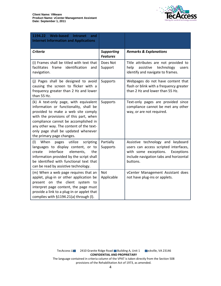

| 1194.22 Web-based Intranet<br>and<br><b>Internet Information and Applications</b>                                                                                                                                                                                                                                      |                                      |                                                                                                                                                                         |
|------------------------------------------------------------------------------------------------------------------------------------------------------------------------------------------------------------------------------------------------------------------------------------------------------------------------|--------------------------------------|-------------------------------------------------------------------------------------------------------------------------------------------------------------------------|
| <b>Criteria</b>                                                                                                                                                                                                                                                                                                        | <b>Supporting</b><br><b>Features</b> | <b>Remarks &amp; Explanations</b>                                                                                                                                       |
| (i) Frames shall be titled with text that<br>facilitates frame identification<br>and<br>navigation.                                                                                                                                                                                                                    | Does Not<br>Support                  | Title attributes are not provided to<br>technology<br>help<br>assistive<br>users<br>identify and navigate to frames.                                                    |
| (j) Pages shall be designed to avoid<br>causing the screen to flicker with a<br>frequency greater than 2 Hz and lower<br>than 55 Hz.                                                                                                                                                                                   | Supports                             | Webpages do not have content that<br>flash or blink with a frequency greater<br>than 2 Hz and lower than 55 Hz.                                                         |
| (k) A text-only page, with equivalent<br>information or functionality, shall be<br>provided to make a web site comply<br>with the provisions of this part, when<br>compliance cannot be accomplished in<br>any other way. The content of the text-<br>only page shall be updated whenever<br>the primary page changes. | Supports                             | Text-only pages are provided since<br>compliance cannot be met any other<br>way, or are not required.                                                                   |
| (1)<br>When<br>utilize<br>scripting<br>pages<br>languages to display content, or to<br>interface<br>elements,<br>create<br>the<br>information provided by the script shall<br>be identified with functional text that<br>can be read by assistive technology.                                                          | Partially<br>Supports                | Assistive technology and keyboard<br>users can access scripted interfaces,<br>with some exceptions.<br>Exceptions<br>include navigation tabs and horizontal<br>buttons. |
| (m) When a web page requires that an<br>applet, plug-in or other application be<br>present on the client system to<br>interpret page content, the page must<br>provide a link to a plug-in or applet that<br>complies with §1194.21(a) through (I).                                                                    | <b>Not</b><br>Applicable             | vCenter Management Assistant does<br>not have plug-ins or applets.                                                                                                      |

TecAccess LLC 2410 Granite Ridge Road Building A, Unit 1 Dickville, VA 23146 **CONFIDENTIAL AND PROPRIETARY**

The language contained in criteria column of the VPAT is taken directly from the Section 508 provisions of the Rehabilitation Act of 1973, as amended.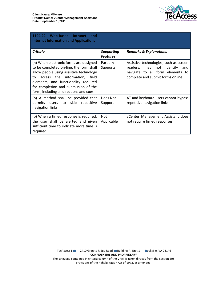

| 1194.22 Web-based<br>Intranet<br>and<br><b>Internet Information and Applications</b>                                                                                                                                                                                                            |                               |                                                                                                                                                     |
|-------------------------------------------------------------------------------------------------------------------------------------------------------------------------------------------------------------------------------------------------------------------------------------------------|-------------------------------|-----------------------------------------------------------------------------------------------------------------------------------------------------|
| Criteria                                                                                                                                                                                                                                                                                        | Supporting<br><b>Features</b> | <b>Remarks &amp; Explanations</b>                                                                                                                   |
| (n) When electronic forms are designed<br>to be completed on-line, the form shall<br>allow people using assistive technology<br>access the information, field<br>to<br>elements, and functionality required<br>for completion and submission of the<br>form, including all directions and cues. | Partially<br><b>Supports</b>  | Assistive technologies, such as screen<br>readers, may not identify<br>and<br>navigate to all form elements to<br>complete and submit forms online. |
| (o) A method shall be provided that<br>permits users<br>to skip<br>repetitive<br>navigation links.                                                                                                                                                                                              | Does Not<br>Support           | AT and keyboard users cannot bypass<br>repetitive navigation links.                                                                                 |
| (p) When a timed response is required,<br>the user shall be alerted and given<br>sufficient time to indicate more time is<br>required.                                                                                                                                                          | <b>Not</b><br>Applicable      | vCenter Management Assistant does<br>not require timed responses.                                                                                   |

TecAccess LLC 2410 Granite Ridge Road Building A, Unit 1 Dickville, VA 23146 **CONFIDENTIAL AND PROPRIETARY** The language contained in criteria column of the VPAT is taken directly from the Section 508 provisions of the Rehabilitation Act of 1973, as amended.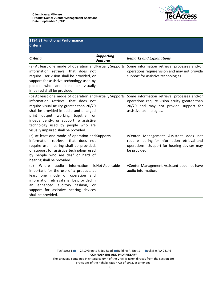

| 1194.31 Functional Performance<br><b>Criteria</b>                                                                                                                                                                                                                                                                                                   |                                      |                                                                                                                                                                  |
|-----------------------------------------------------------------------------------------------------------------------------------------------------------------------------------------------------------------------------------------------------------------------------------------------------------------------------------------------------|--------------------------------------|------------------------------------------------------------------------------------------------------------------------------------------------------------------|
| <b>Criteria</b>                                                                                                                                                                                                                                                                                                                                     | <b>Supporting</b><br><b>Features</b> | <b>Remarks and Explanations</b>                                                                                                                                  |
| (a) At least one mode of operation and Partially Supports<br>linformation retrieval that does not<br>require user vision shall be provided, or<br>support for assistive technology used by<br>people who are blind or visually<br>impaired shall be provided.                                                                                       |                                      | Some information retrieval processes and/or<br>operations require vision and may not provide<br>support for assistive technologies.                              |
| (b) At least one mode of operation and Partially Supports<br>linformation retrieval that does not<br>require visual acuity greater than 20/70<br>shall be provided in audio and enlarged<br>print output working together or<br>independently, or support fo assistive<br>technology used by people who are<br>visually impaired shall be provided. |                                      | Some information retrieval processes and/or<br>operations require vision acuity greater than<br>20/70 and may not provide support for<br>assistive technologies. |
| $(c)$ At least one mode of operation and Supports<br>linformation retrieval that does not<br>require user hearing shall be provided,<br>or support for assistive technology used<br>by people who are deaf or hard of<br>hearing shall be provided.                                                                                                 |                                      | vCenter Management Assistant does not<br>require hearing for information retrieval and<br>operations. Support for hearing devices may<br>be provided.            |
| audio information<br>(d)<br>Where<br>important for the use of a product, at<br>least one mode of operation and<br>information retrieval shall be provided in<br>an enhanced auditory fashion, or<br>support for assistive hearing devices<br>shall be provided.                                                                                     | isNot Applicable                     | vCenter Management Assistant does not have<br>laudio information.                                                                                                |

TecAccess LLC 2410 Granite Ridge Road Building A, Unit 1 Dickville, VA 23146 **CONFIDENTIAL AND PROPRIETARY** The language contained in criteria column of the VPAT is taken directly from the Section 508

provisions of the Rehabilitation Act of 1973, as amended.